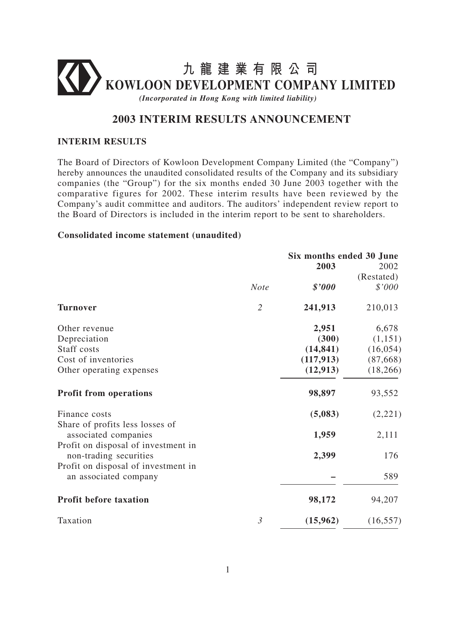

# **2003 INTERIM RESULTS ANNOUNCEMENT**

## **INTERIM RESULTS**

The Board of Directors of Kowloon Development Company Limited (the "Company") hereby announces the unaudited consolidated results of the Company and its subsidiary companies (the "Group") for the six months ended 30 June 2003 together with the comparative figures for 2002. These interim results have been reviewed by the Company's audit committee and auditors. The auditors' independent review report to the Board of Directors is included in the interim report to be sent to shareholders.

#### **Consolidated income statement (unaudited)**

|                                                                                                |                | Six months ended 30 June |            |
|------------------------------------------------------------------------------------------------|----------------|--------------------------|------------|
|                                                                                                |                | 2003                     | 2002       |
|                                                                                                |                |                          | (Restated) |
|                                                                                                | <b>Note</b>    | \$'000                   | \$'000     |
| <b>Turnover</b>                                                                                | $\overline{2}$ | 241,913                  | 210,013    |
| Other revenue                                                                                  |                | 2,951                    | 6,678      |
| Depreciation                                                                                   |                | (300)                    | (1,151)    |
| Staff costs                                                                                    |                | (14, 841)                | (16, 054)  |
| Cost of inventories                                                                            |                | (117, 913)               | (87,668)   |
| Other operating expenses                                                                       |                | (12, 913)                | (18, 266)  |
| <b>Profit from operations</b>                                                                  |                | 98,897                   | 93,552     |
| Finance costs                                                                                  |                | (5,083)                  | (2,221)    |
| Share of profits less losses of<br>associated companies<br>Profit on disposal of investment in |                | 1,959                    | 2,111      |
| non-trading securities                                                                         |                | 2,399                    | 176        |
| Profit on disposal of investment in<br>an associated company                                   |                |                          | 589        |
| <b>Profit before taxation</b>                                                                  |                | 98,172                   | 94,207     |
| Taxation                                                                                       | $\mathfrak{Z}$ | (15,962)                 | (16, 557)  |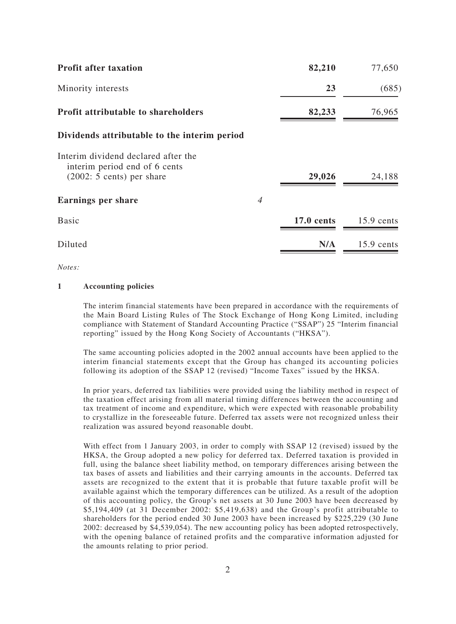| <b>Profit after taxation</b>                                                                        |                | 82,210            | 77,650       |
|-----------------------------------------------------------------------------------------------------|----------------|-------------------|--------------|
| Minority interests                                                                                  |                | 23                | (685)        |
| <b>Profit attributable to shareholders</b>                                                          |                | 82,233            | 76,965       |
| Dividends attributable to the interim period                                                        |                |                   |              |
| Interim dividend declared after the<br>interim period end of 6 cents<br>$(2002: 5 cents)$ per share |                | 29,026            | 24,188       |
| <b>Earnings per share</b>                                                                           | $\overline{4}$ |                   |              |
| <b>Basic</b>                                                                                        |                | <b>17.0 cents</b> | $15.9$ cents |
| Diluted                                                                                             |                | N/A               | $15.9$ cents |

*Notes:*

#### **1 Accounting policies**

The interim financial statements have been prepared in accordance with the requirements of the Main Board Listing Rules of The Stock Exchange of Hong Kong Limited, including compliance with Statement of Standard Accounting Practice ("SSAP") 25 "Interim financial reporting" issued by the Hong Kong Society of Accountants ("HKSA").

The same accounting policies adopted in the 2002 annual accounts have been applied to the interim financial statements except that the Group has changed its accounting policies following its adoption of the SSAP 12 (revised) "Income Taxes" issued by the HKSA.

In prior years, deferred tax liabilities were provided using the liability method in respect of the taxation effect arising from all material timing differences between the accounting and tax treatment of income and expenditure, which were expected with reasonable probability to crystallize in the foreseeable future. Deferred tax assets were not recognized unless their realization was assured beyond reasonable doubt.

With effect from 1 January 2003, in order to comply with SSAP 12 (revised) issued by the HKSA, the Group adopted a new policy for deferred tax. Deferred taxation is provided in full, using the balance sheet liability method, on temporary differences arising between the tax bases of assets and liabilities and their carrying amounts in the accounts. Deferred tax assets are recognized to the extent that it is probable that future taxable profit will be available against which the temporary differences can be utilized. As a result of the adoption of this accounting policy, the Group's net assets at 30 June 2003 have been decreased by \$5,194,409 (at 31 December 2002: \$5,419,638) and the Group's profit attributable to shareholders for the period ended 30 June 2003 have been increased by \$225,229 (30 June 2002: decreased by \$4,539,054). The new accounting policy has been adopted retrospectively, with the opening balance of retained profits and the comparative information adjusted for the amounts relating to prior period.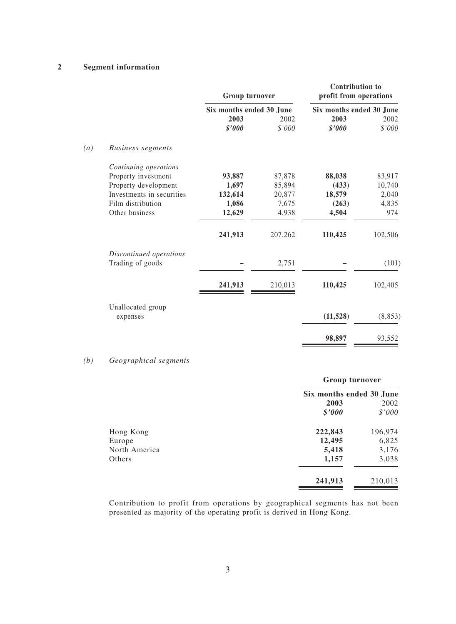|                                 |                | Group turnover<br>Six months ended 30 June |                | <b>Contribution to</b><br>profit from operations<br>Six months ended 30 June |  |
|---------------------------------|----------------|--------------------------------------------|----------------|------------------------------------------------------------------------------|--|
|                                 |                |                                            |                |                                                                              |  |
|                                 | 2003<br>\$'000 | 2002<br>\$'000                             | 2003<br>\$'000 | 2002<br>\$'000                                                               |  |
| (a)<br><b>Business segments</b> |                |                                            |                |                                                                              |  |
| Continuing operations           |                |                                            |                |                                                                              |  |
| Property investment             | 93,887         | 87,878                                     | 88,038         | 83,917                                                                       |  |
| Property development            | 1,697          | 85,894                                     | (433)          | 10,740                                                                       |  |
| Investments in securities       | 132,614        | 20,877                                     | 18,579         | 2,040                                                                        |  |
| Film distribution               | 1,086          | 7,675                                      | (263)          | 4,835                                                                        |  |
| Other business                  | 12,629         | 4,938                                      | 4,504          | 974                                                                          |  |
|                                 | 241,913        | 207,262                                    | 110,425        | 102,506                                                                      |  |
| Discontinued operations         |                |                                            |                |                                                                              |  |
| Trading of goods                |                | 2,751                                      |                | (101)                                                                        |  |
|                                 | 241,913        | 210,013                                    | 110,425        | 102,405                                                                      |  |
| Unallocated group               |                |                                            |                |                                                                              |  |
| expenses                        |                |                                            | (11, 528)      | (8, 853)                                                                     |  |
|                                 |                |                                            | 98,897         | 93,552                                                                       |  |

### *(b) Geographical segments*

| Group turnover |                          |
|----------------|--------------------------|
|                |                          |
| 2003           | 2002                     |
| \$'000         | \$'000                   |
| 222,843        | 196,974                  |
| 12,495         | 6,825                    |
| 5,418          | 3,176                    |
| 1,157          | 3,038                    |
| 241,913        | 210,013                  |
|                | Six months ended 30 June |

Contribution to profit from operations by geographical segments has not been presented as majority of the operating profit is derived in Hong Kong.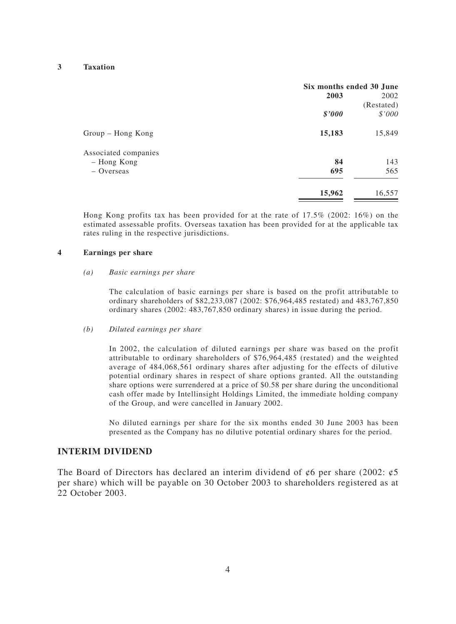|                      | Six months ended 30 June |            |
|----------------------|--------------------------|------------|
|                      | 2003                     | 2002       |
|                      |                          | (Restated) |
|                      | \$'000                   | \$'000     |
| Group - Hong Kong    | 15,183                   | 15,849     |
| Associated companies |                          |            |
| - Hong Kong          | 84                       | 143        |
| - Overseas           | 695                      | 565        |
|                      | 15,962                   | 16,557     |

Hong Kong profits tax has been provided for at the rate of 17.5% (2002: 16%) on the estimated assessable profits. Overseas taxation has been provided for at the applicable tax rates ruling in the respective jurisdictions.

#### **4 Earnings per share**

#### *(a) Basic earnings per share*

The calculation of basic earnings per share is based on the profit attributable to ordinary shareholders of \$82,233,087 (2002: \$76,964,485 restated) and 483,767,850 ordinary shares (2002: 483,767,850 ordinary shares) in issue during the period.

#### *(b) Diluted earnings per share*

In 2002, the calculation of diluted earnings per share was based on the profit attributable to ordinary shareholders of \$76,964,485 (restated) and the weighted average of 484,068,561 ordinary shares after adjusting for the effects of dilutive potential ordinary shares in respect of share options granted. All the outstanding share options were surrendered at a price of \$0.58 per share during the unconditional cash offer made by Intellinsight Holdings Limited, the immediate holding company of the Group, and were cancelled in January 2002.

No diluted earnings per share for the six months ended 30 June 2003 has been presented as the Company has no dilutive potential ordinary shares for the period.

#### **INTERIM DIVIDEND**

The Board of Directors has declared an interim dividend of  $\phi$ 6 per share (2002:  $\phi$ 5 per share) which will be payable on 30 October 2003 to shareholders registered as at 22 October 2003.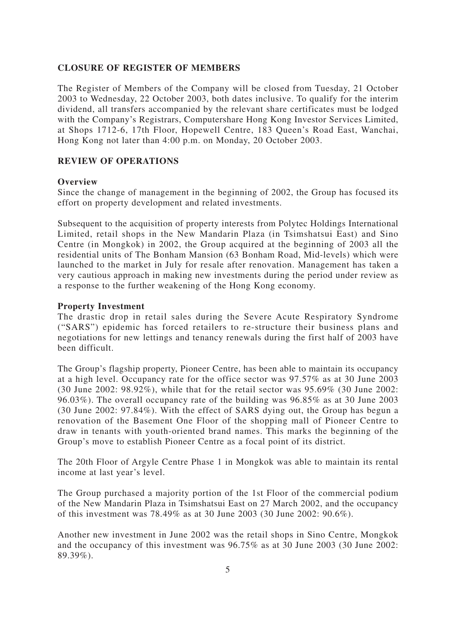# **CLOSURE OF REGISTER OF MEMBERS**

The Register of Members of the Company will be closed from Tuesday, 21 October 2003 to Wednesday, 22 October 2003, both dates inclusive. To qualify for the interim dividend, all transfers accompanied by the relevant share certificates must be lodged with the Company's Registrars, Computershare Hong Kong Investor Services Limited, at Shops 1712-6, 17th Floor, Hopewell Centre, 183 Queen's Road East, Wanchai, Hong Kong not later than 4:00 p.m. on Monday, 20 October 2003.

## **REVIEW OF OPERATIONS**

## **Overview**

Since the change of management in the beginning of 2002, the Group has focused its effort on property development and related investments.

Subsequent to the acquisition of property interests from Polytec Holdings International Limited, retail shops in the New Mandarin Plaza (in Tsimshatsui East) and Sino Centre (in Mongkok) in 2002, the Group acquired at the beginning of 2003 all the residential units of The Bonham Mansion (63 Bonham Road, Mid-levels) which were launched to the market in July for resale after renovation. Management has taken a very cautious approach in making new investments during the period under review as a response to the further weakening of the Hong Kong economy.

## **Property Investment**

The drastic drop in retail sales during the Severe Acute Respiratory Syndrome ("SARS") epidemic has forced retailers to re-structure their business plans and negotiations for new lettings and tenancy renewals during the first half of 2003 have been difficult.

The Group's flagship property, Pioneer Centre, has been able to maintain its occupancy at a high level. Occupancy rate for the office sector was 97.57% as at 30 June 2003 (30 June 2002: 98.92%), while that for the retail sector was 95.69% (30 June 2002: 96.03%). The overall occupancy rate of the building was 96.85% as at 30 June 2003 (30 June 2002: 97.84%). With the effect of SARS dying out, the Group has begun a renovation of the Basement One Floor of the shopping mall of Pioneer Centre to draw in tenants with youth-oriented brand names. This marks the beginning of the Group's move to establish Pioneer Centre as a focal point of its district.

The 20th Floor of Argyle Centre Phase 1 in Mongkok was able to maintain its rental income at last year's level.

The Group purchased a majority portion of the 1st Floor of the commercial podium of the New Mandarin Plaza in Tsimshatsui East on 27 March 2002, and the occupancy of this investment was 78.49% as at 30 June 2003 (30 June 2002: 90.6%).

Another new investment in June 2002 was the retail shops in Sino Centre, Mongkok and the occupancy of this investment was 96.75% as at 30 June 2003 (30 June 2002: 89.39%).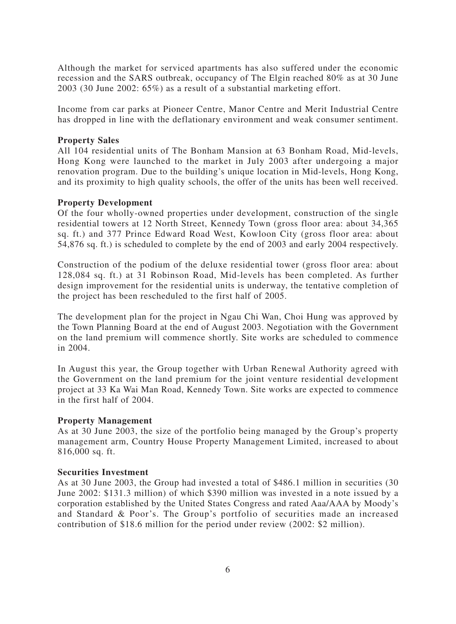Although the market for serviced apartments has also suffered under the economic recession and the SARS outbreak, occupancy of The Elgin reached 80% as at 30 June 2003 (30 June 2002: 65%) as a result of a substantial marketing effort.

Income from car parks at Pioneer Centre, Manor Centre and Merit Industrial Centre has dropped in line with the deflationary environment and weak consumer sentiment.

## **Property Sales**

All 104 residential units of The Bonham Mansion at 63 Bonham Road, Mid-levels, Hong Kong were launched to the market in July 2003 after undergoing a major renovation program. Due to the building's unique location in Mid-levels, Hong Kong, and its proximity to high quality schools, the offer of the units has been well received.

## **Property Development**

Of the four wholly-owned properties under development, construction of the single residential towers at 12 North Street, Kennedy Town (gross floor area: about 34,365 sq. ft.) and 377 Prince Edward Road West, Kowloon City (gross floor area: about 54,876 sq. ft.) is scheduled to complete by the end of 2003 and early 2004 respectively.

Construction of the podium of the deluxe residential tower (gross floor area: about 128,084 sq. ft.) at 31 Robinson Road, Mid-levels has been completed. As further design improvement for the residential units is underway, the tentative completion of the project has been rescheduled to the first half of 2005.

The development plan for the project in Ngau Chi Wan, Choi Hung was approved by the Town Planning Board at the end of August 2003. Negotiation with the Government on the land premium will commence shortly. Site works are scheduled to commence in 2004.

In August this year, the Group together with Urban Renewal Authority agreed with the Government on the land premium for the joint venture residential development project at 33 Ka Wai Man Road, Kennedy Town. Site works are expected to commence in the first half of 2004.

### **Property Management**

As at 30 June 2003, the size of the portfolio being managed by the Group's property management arm, Country House Property Management Limited, increased to about 816,000 sq. ft.

### **Securities Investment**

As at 30 June 2003, the Group had invested a total of \$486.1 million in securities (30 June 2002: \$131.3 million) of which \$390 million was invested in a note issued by a corporation established by the United States Congress and rated Aaa/AAA by Moody's and Standard & Poor's. The Group's portfolio of securities made an increased contribution of \$18.6 million for the period under review (2002: \$2 million).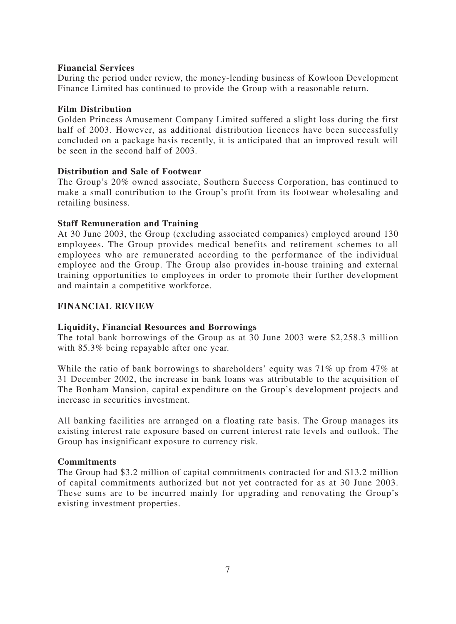## **Financial Services**

During the period under review, the money-lending business of Kowloon Development Finance Limited has continued to provide the Group with a reasonable return.

## **Film Distribution**

Golden Princess Amusement Company Limited suffered a slight loss during the first half of 2003. However, as additional distribution licences have been successfully concluded on a package basis recently, it is anticipated that an improved result will be seen in the second half of 2003.

## **Distribution and Sale of Footwear**

The Group's 20% owned associate, Southern Success Corporation, has continued to make a small contribution to the Group's profit from its footwear wholesaling and retailing business.

## **Staff Remuneration and Training**

At 30 June 2003, the Group (excluding associated companies) employed around 130 employees. The Group provides medical benefits and retirement schemes to all employees who are remunerated according to the performance of the individual employee and the Group. The Group also provides in-house training and external training opportunities to employees in order to promote their further development and maintain a competitive workforce.

## **FINANCIAL REVIEW**

## **Liquidity, Financial Resources and Borrowings**

The total bank borrowings of the Group as at 30 June 2003 were \$2,258.3 million with 85.3% being repayable after one year.

While the ratio of bank borrowings to shareholders' equity was 71% up from 47% at 31 December 2002, the increase in bank loans was attributable to the acquisition of The Bonham Mansion, capital expenditure on the Group's development projects and increase in securities investment.

All banking facilities are arranged on a floating rate basis. The Group manages its existing interest rate exposure based on current interest rate levels and outlook. The Group has insignificant exposure to currency risk.

## **Commitments**

The Group had \$3.2 million of capital commitments contracted for and \$13.2 million of capital commitments authorized but not yet contracted for as at 30 June 2003. These sums are to be incurred mainly for upgrading and renovating the Group's existing investment properties.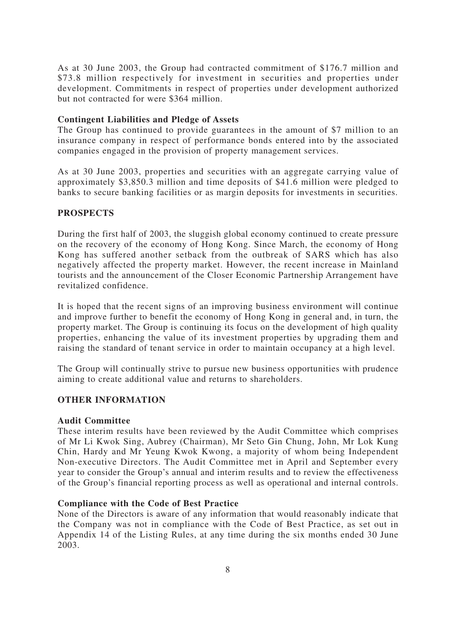As at 30 June 2003, the Group had contracted commitment of \$176.7 million and \$73.8 million respectively for investment in securities and properties under development. Commitments in respect of properties under development authorized but not contracted for were \$364 million.

## **Contingent Liabilities and Pledge of Assets**

The Group has continued to provide guarantees in the amount of \$7 million to an insurance company in respect of performance bonds entered into by the associated companies engaged in the provision of property management services.

As at 30 June 2003, properties and securities with an aggregate carrying value of approximately \$3,850.3 million and time deposits of \$41.6 million were pledged to banks to secure banking facilities or as margin deposits for investments in securities.

# **PROSPECTS**

During the first half of 2003, the sluggish global economy continued to create pressure on the recovery of the economy of Hong Kong. Since March, the economy of Hong Kong has suffered another setback from the outbreak of SARS which has also negatively affected the property market. However, the recent increase in Mainland tourists and the announcement of the Closer Economic Partnership Arrangement have revitalized confidence.

It is hoped that the recent signs of an improving business environment will continue and improve further to benefit the economy of Hong Kong in general and, in turn, the property market. The Group is continuing its focus on the development of high quality properties, enhancing the value of its investment properties by upgrading them and raising the standard of tenant service in order to maintain occupancy at a high level.

The Group will continually strive to pursue new business opportunities with prudence aiming to create additional value and returns to shareholders.

## **OTHER INFORMATION**

### **Audit Committee**

These interim results have been reviewed by the Audit Committee which comprises of Mr Li Kwok Sing, Aubrey (Chairman), Mr Seto Gin Chung, John, Mr Lok Kung Chin, Hardy and Mr Yeung Kwok Kwong, a majority of whom being Independent Non-executive Directors. The Audit Committee met in April and September every year to consider the Group's annual and interim results and to review the effectiveness of the Group's financial reporting process as well as operational and internal controls.

### **Compliance with the Code of Best Practice**

None of the Directors is aware of any information that would reasonably indicate that the Company was not in compliance with the Code of Best Practice, as set out in Appendix 14 of the Listing Rules, at any time during the six months ended 30 June 2003.